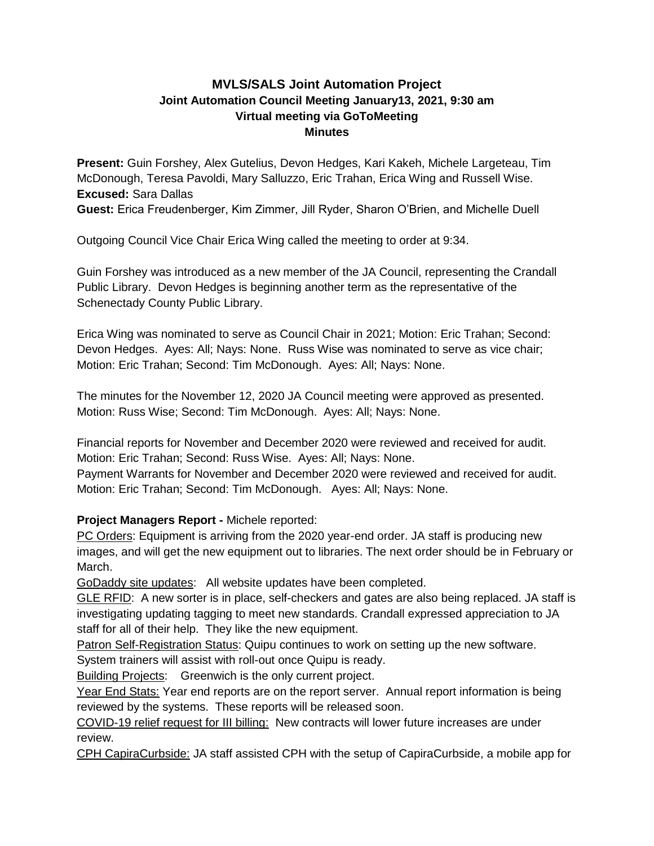# **MVLS/SALS Joint Automation Project Joint Automation Council Meeting January13, 2021, 9:30 am Virtual meeting via GoToMeeting Minutes**

**Present:** Guin Forshey, Alex Gutelius, Devon Hedges, Kari Kakeh, Michele Largeteau, Tim McDonough, Teresa Pavoldi, Mary Salluzzo, Eric Trahan, Erica Wing and Russell Wise. **Excused:** Sara Dallas

**Guest:** Erica Freudenberger, Kim Zimmer, Jill Ryder, Sharon O'Brien, and Michelle Duell

Outgoing Council Vice Chair Erica Wing called the meeting to order at 9:34.

Guin Forshey was introduced as a new member of the JA Council, representing the Crandall Public Library. Devon Hedges is beginning another term as the representative of the Schenectady County Public Library.

Erica Wing was nominated to serve as Council Chair in 2021; Motion: Eric Trahan; Second: Devon Hedges. Ayes: All; Nays: None. Russ Wise was nominated to serve as vice chair; Motion: Eric Trahan; Second: Tim McDonough. Ayes: All; Nays: None.

The minutes for the November 12, 2020 JA Council meeting were approved as presented. Motion: Russ Wise; Second: Tim McDonough. Ayes: All; Nays: None.

Financial reports for November and December 2020 were reviewed and received for audit. Motion: Eric Trahan; Second: Russ Wise. Ayes: All; Nays: None. Payment Warrants for November and December 2020 were reviewed and received for audit. Motion: Eric Trahan; Second: Tim McDonough. Ayes: All; Nays: None.

# **Project Managers Report -** Michele reported:

PC Orders: Equipment is arriving from the 2020 year-end order. JA staff is producing new images, and will get the new equipment out to libraries. The next order should be in February or March.

GoDaddy site updates: All website updates have been completed.

GLE RFID: A new sorter is in place, self-checkers and gates are also being replaced. JA staff is investigating updating tagging to meet new standards. Crandall expressed appreciation to JA staff for all of their help. They like the new equipment.

Patron Self-Registration Status: Quipu continues to work on setting up the new software.

System trainers will assist with roll-out once Quipu is ready.

Building Projects: Greenwich is the only current project.

Year End Stats: Year end reports are on the report server. Annual report information is being reviewed by the systems. These reports will be released soon.

COVID-19 relief request for III billing: New contracts will lower future increases are under review.

CPH CapiraCurbside: JA staff assisted CPH with the setup of CapiraCurbside, a mobile app for